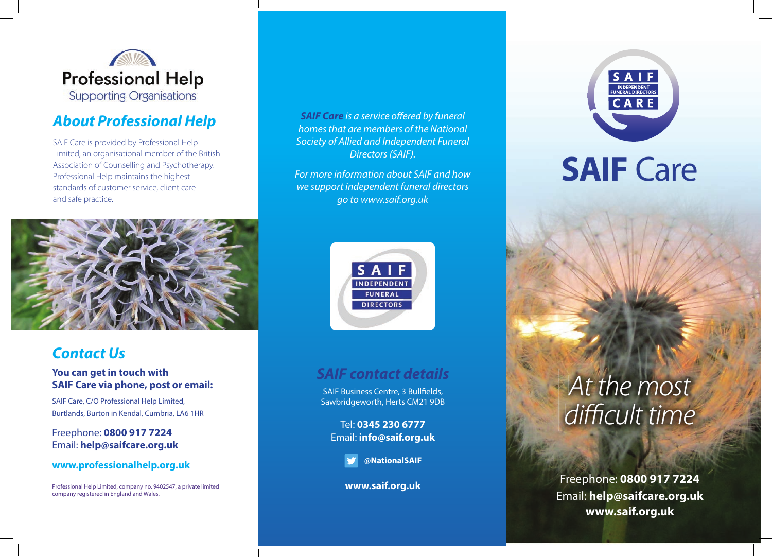

## *About Professional Help*

SAIF Care is provided by Professional Help Limited, an organisational member of the British Association of Counselling and Psychotherapy. Professional Help maintains the highest standards of customer service, client care and safe practice.



### *Contact Us*

#### **You can get in touch with SAIF Care via phone, post or email:**

SAIF Care, C/O Professional Help Limited, Burtlands, Burton in Kendal, Cumbria, LA6 1HR

Freephone: **0800 917 7224** Email: **help@saifcare.org.uk**

#### **www.professionalhelp.org.uk**

Professional Help Limited, company no. 9402547, a private limited company registered in England and Wales.

**SAIF Care** is a service offered by funeral *homes that are members of the National Society of Allied and Independent Funeral Directors (SAIF).* 

*For more information about SAIF and how we support independent funeral directors go to www.saif.org.uk*



### *SAIF contact details*

SAIF Business Centre, 3 Bullfields, Sawbridgeworth, Herts CM21 9DB

Tel: **0345 230 6777** Email: **info@saif.org.uk**

**@NationalSAIF**

**www.saif.org.uk**



**SAIF Care** 

# *At the most difficult time*

Freephone: **0800 917 7224** Email: **help@saifcare.org.uk www.saif.org.uk**